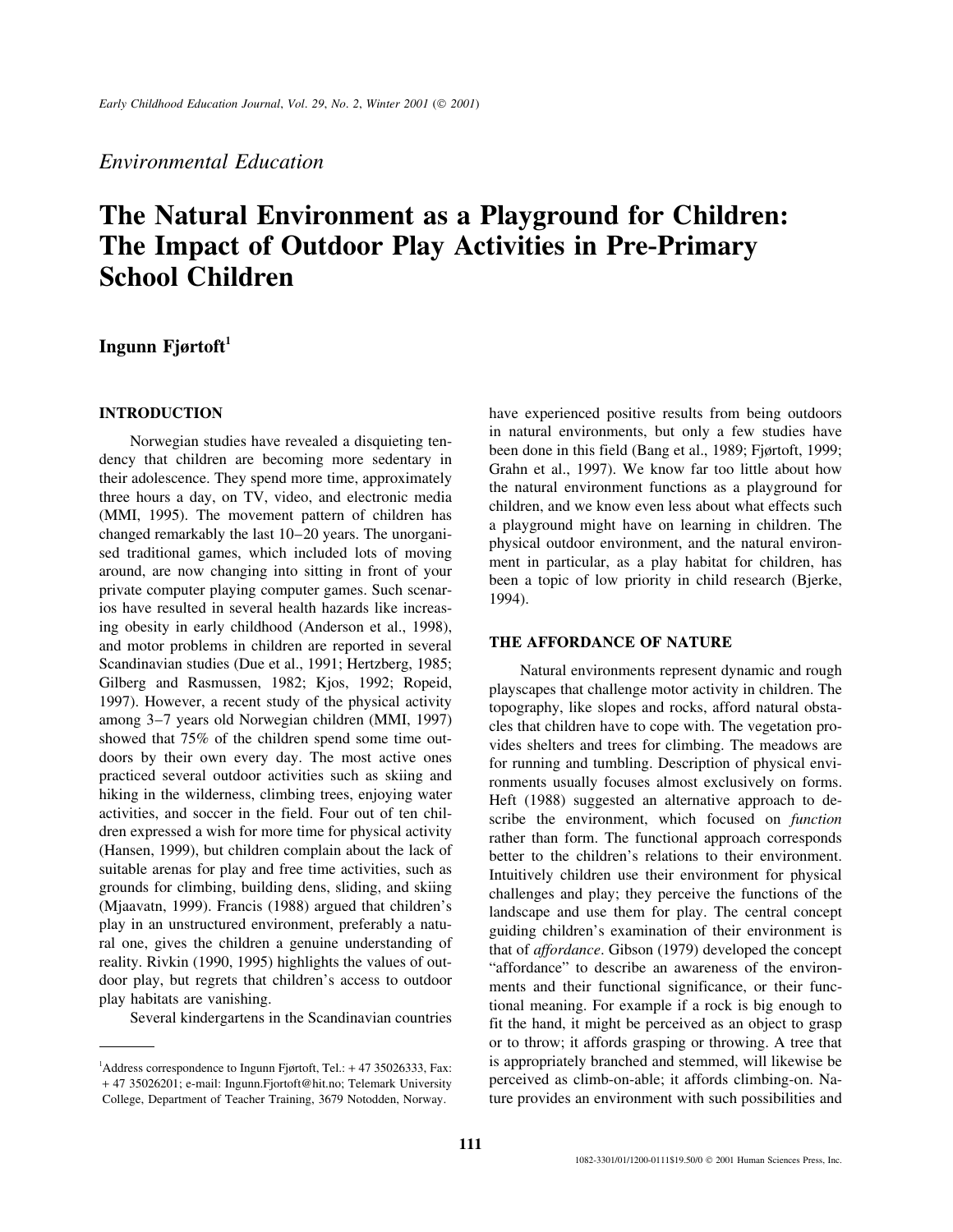## *Environmental Education*

# **The Natural Environment as a Playground for Children: The Impact of Outdoor Play Activities in Pre-Primary School Children**

## **Ingunn Fjørtoft<sup>1</sup>**

Norwegian studies have revealed a disquieting tendency that children are becoming more sedentary in<br>
their adolescence. They spend more time, approximately<br>
their adolescence. They spend more time, approximately<br>
the natur ing obesity in early childhood (Anderson et al., 1998), and motor problems in children are reported in several **THE AFFORDANCE OF NATURE** Scandinavian studies (Due et al., 1991; Hertzberg, 1985;<br>
Gilberg and Rasmussen, 1982; Kjos, 1992; Ropeid,<br>
1997). However, a recent study of the physical activity<br>
among 3–7 years old Norwegian children (MMI, 1997)<br>
alter suitable arenas for play and free time activities, such as<br>grounds for climbing, building dens, sliding, and skiing<br>(Mjaavatn, 1999). Francis (1988) argued that children's<br>play in an unstructured environment, preferably a

**INTRODUCTION** have experienced positive results from being outdoors

reality. Rivkin (1990, 1995) highlights the values of out-<br>door play, but regrets that children's access to outdoor<br>play habitats are vanishing.<br>Several kindergartens in the Scandinavian countries<br>fit the hand, it might be or to throw; it affords grasping or throwing. A tree that <sup>1</sup> Address correspondence to Ingunn Fjørtoft, Tel.: +47 35026333, Fax: is appropriately branched and stemmed, will likewise be + 47 35026201; e-mail: Ingunn.Fjortoft@hit.no; Telemark University perceived as climb-on-able; it affords climbing-on. Na-

College, Department of Teacher Training, 3679 Notodden, Norway. ture provides an environment with such possibilities and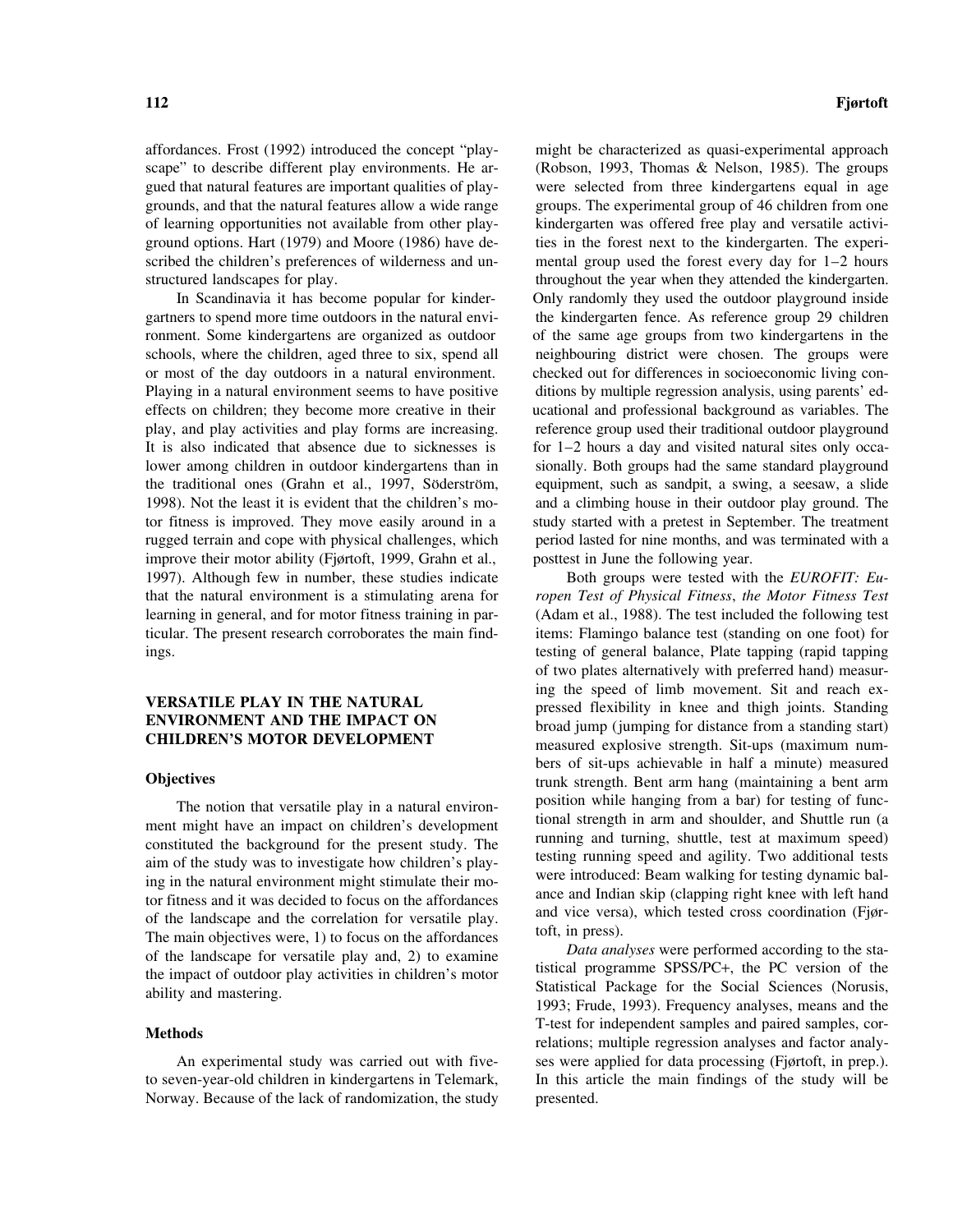improve their motor ability (Fjørtoft, 1999, Grahn et al., posttest in June the following year.

of the landscape and the correlation for versatile play.<br>
The main objectives were, 1) to focus on the affordances<br>
of the landscape for versatile play and, 2) to examine<br>
the impact of outdoor play activities in children'

Norway. Because of the lack of randomization, the study presented.

affordances. Frost (1992) introduced the concept "play- might be characterized as quasi-experimental approach scape" to describe different play environments. He ar- (Robson, 1993, Thomas & Nelson, 1985). The groups gued that natural features are important qualities of play- were selected from three kindergartens equal in age grounds, and that the natural features allow a wide range groups. The experimental group of 46 children from one of learning opportunities not available from other play- kindergarten was offered free play and versatile activiground options. Hart (1979) and Moore (1986) have de- ties in the forest next to the kindergarten. The experiscribed the children's preferences of wilderness and un-<br>mental group used the forest every day for 1–2 hours structured landscapes for play. throughout the year when they attended the kindergarten. In Scandinavia it has become popular for kinder- Only randomly they used the outdoor playground inside gartners to spend more time outdoors in the natural envi-<br>the kindergarten fence. As reference group 29 children ronment. Some kindergartens are organized as outdoor of the same age groups from two kindergartens in the schools, where the children, aged three to six, spend all neighbouring district were chosen. The groups were or most of the day outdoors in a natural environment. checked out for differences in socioeconomic living con-Playing in a natural environment seems to have positive ditions by multiple regression analysis, using parents' edeffects on children; they become more creative in their ucational and professional background as variables. The play, and play activities and play forms are increasing. reference group used their traditional outdoor playground It is also indicated that absence due to sicknesses is for  $1-2$  hours a day and visited natural sites only occalower among children in outdoor kindergartens than in sionally. Both groups had the same standard playground the traditional ones (Grahn et al., 1997, Söderström, equipment, such as sandpit, a swing, a seesaw, a slide 1998). Not the least it is evident that the children's mo- and a climbing house in their outdoor play ground. The tor fitness is improved. They move easily around in a study started with a pretest in September. The treatment rugged terrain and cope with physical challenges, which period lasted for nine months, and was terminated with a

1997). Although few in number, these studies indicate Both groups were tested with the *EUROFIT: Eu*that the natural environment is a stimulating arena for *ropen Test of Physical Fitness*, *the Motor Fitness Test* learning in general, and for motor fitness training in par- (Adam et al., 1988). The test included the following test ticular. The present research corroborates the main find- items: Flamingo balance test (standing on one foot) for ings. testing of general balance, Plate tapping (rapid tapping of two plates alternatively with preferred hand) measur-**VERSATILE PLAY IN THE NATURAL** ing the speed of limb movement. Sit and reach ex-<br> **ENVIRONMENT AND THE IMPACT ON**<br> **CHILDREN'S MOTOR DEVELOPMENT** measured explosive strength. Sit-ups (maximum numbers of sit-ups achievable in half a minute) measured **Objectives** trunk strength. Bent arm hang (maintaining a bent arm The notion that versatile play in a natural environ-<br>ment might have an impact on children's development<br>constituted the background for the present study. The<br>aim of the study was to investigate how children's play-<br>ing in

**Methods** T-test for independent samples and paired samples, correlations; multiple regression analyses and factor analy-An experimental study was carried out with five- ses were applied for data processing (Fjørtoft, in prep.). to seven-year-old children in kindergartens in Telemark, In this article the main findings of the study will be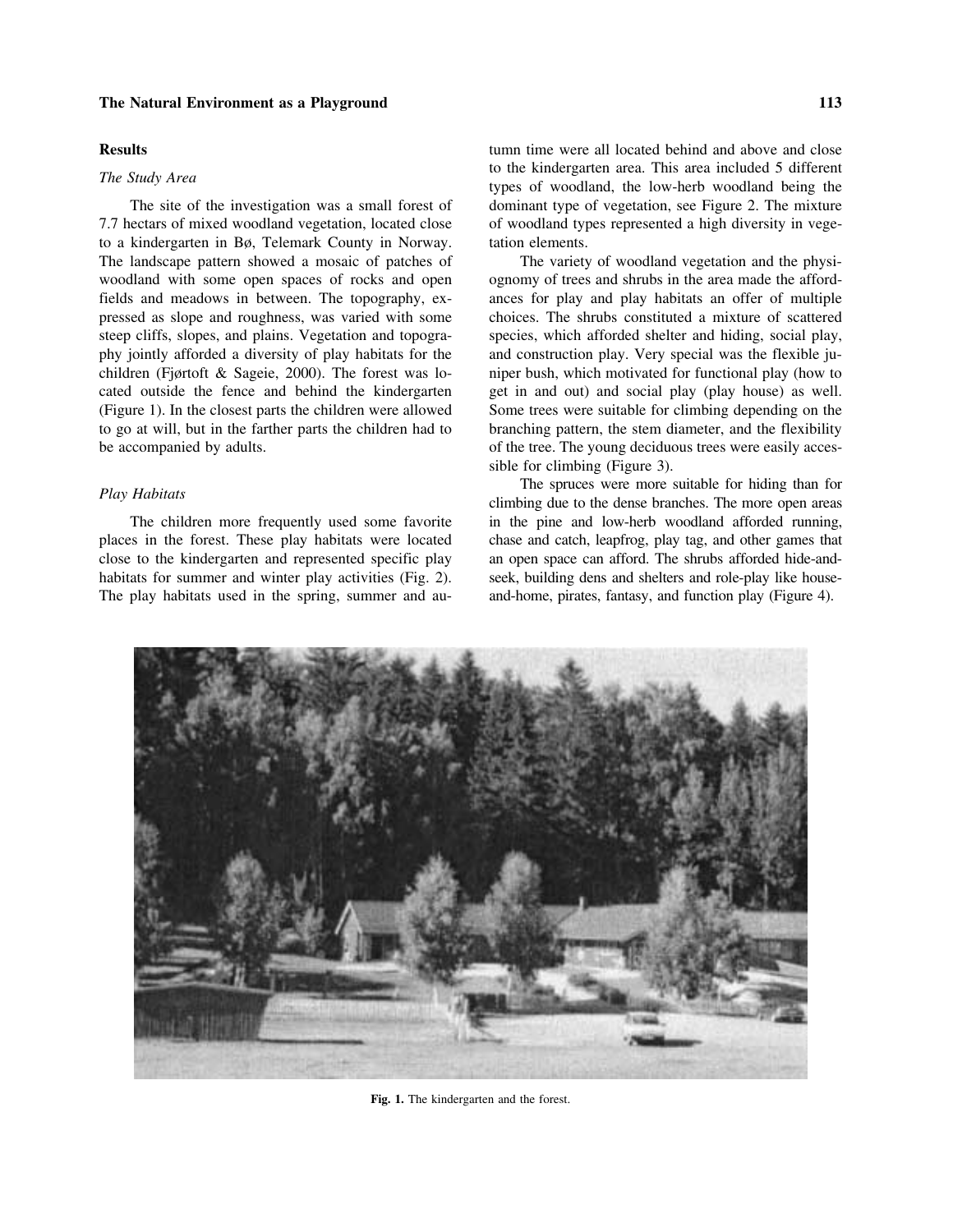## **The Natural Environment as a Playground 113**

7.7 hectars of mixed woodland vegetation, located close of woodland types represented a high diversity in vegeto a kindergarten in Bø, Telemark County in Norway. tation elements. The landscape pattern showed a mosaic of patches of The variety of woodland vegetation and the physiwoodland with some open spaces of rocks and open ognomy of trees and shrubs in the area made the affordfields and meadows in between. The topography, ex- ances for play and play habitats an offer of multiple pressed as slope and roughness, was varied with some choices. The shrubs constituted a mixture of scattered steep cliffs, slopes, and plains. Vegetation and topogra- species, which afforded shelter and hiding, social play, phy jointly afforded a diversity of play habitats for the and construction play. Very special was the flexible juchildren (Fjørtoft & Sageie, 2000). The forest was lo- niper bush, which motivated for functional play (how to cated outside the fence and behind the kindergarten get in and out) and social play (play house) as well. (Figure 1). In the closest parts the children were allowed Some trees were suitable for climbing depending on the to go at will, but in the farther parts the children had to branching pattern, the stem diameter, and the flexibility be accompanied by adults.  $\blacksquare$  of the tree. The young deciduous trees were easily acces-

places in the forest. These play habitats were located chase and catch, leapfrog, play tag, and other games that close to the kindergarten and represented specific play an open space can afford. The shrubs afforded hide-andhabitats for summer and winter play activities (Fig. 2). seek, building dens and shelters and role-play like house-The play habitats used in the spring, summer and au- and-home, pirates, fantasy, and function play (Figure 4).

**Results** tumn time were all located behind and above and close to the kindergarten area. This area included 5 different The Study Area<br>types of woodland, the low-herb woodland being the The site of the investigation was a small forest of dominant type of vegetation, see Figure 2. The mixture

sible for climbing (Figure 3).

The spruces were more suitable for hiding than for *Play Habitats* climbing due to the dense branches. The more open areas The children more frequently used some favorite in the pine and low-herb woodland afforded running,



**Fig. 1.** The kindergarten and the forest.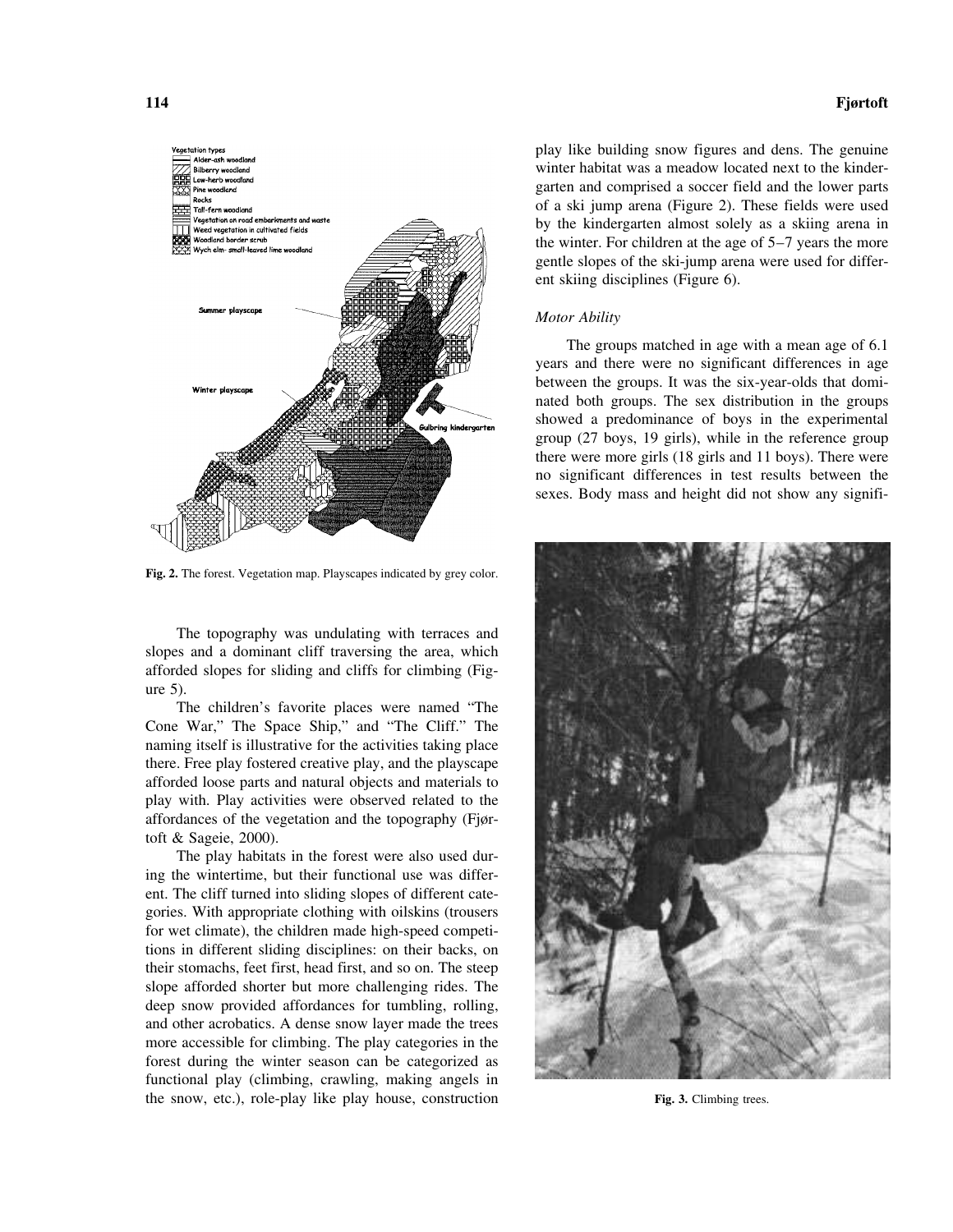

**Fig. 2.** The forest. Vegetation map. Playscapes indicated by grey color.

The topography was undulating with terraces and slopes and a dominant cliff traversing the area, which afforded slopes for sliding and cliffs for climbing (Figure 5).

The children's favorite places were named "The Cone War," The Space Ship," and "The Cliff." The naming itself is illustrative for the activities taking place there. Free play fostered creative play, and the playscape afforded loose parts and natural objects and materials to play with. Play activities were observed related to the affordances of the vegetation and the topography (Fjørtoft & Sageie, 2000).

The play habitats in the forest were also used during the wintertime, but their functional use was different. The cliff turned into sliding slopes of different categories. With appropriate clothing with oilskins (trousers for wet climate), the children made high-speed competitions in different sliding disciplines: on their backs, on their stomachs, feet first, head first, and so on. The steep slope afforded shorter but more challenging rides. The deep snow provided affordances for tumbling, rolling, and other acrobatics. A dense snow layer made the trees more accessible for climbing. The play categories in the forest during the winter season can be categorized as functional play (climbing, crawling, making angels in the snow, etc.), role-play like play house, construction **Fig. 3.** Climbing trees.

## **114 Fjørtoft**

play like building snow figures and dens. The genuine winter habitat was a meadow located next to the kindergarten and comprised a soccer field and the lower parts of a ski jump arena (Figure 2). These fields were used by the kindergarten almost solely as a skiing arena in the winter. For children at the age of 5–7 years the more gentle slopes of the ski-jump arena were used for different skiing disciplines (Figure 6).

### *Motor Ability*

The groups matched in age with a mean age of 6.1 years and there were no significant differences in age between the groups. It was the six-year-olds that dominated both groups. The sex distribution in the groups showed a predominance of boys in the experimental group (27 boys, 19 girls), while in the reference group there were more girls (18 girls and 11 boys). There were no significant differences in test results between the sexes. Body mass and height did not show any signifi-

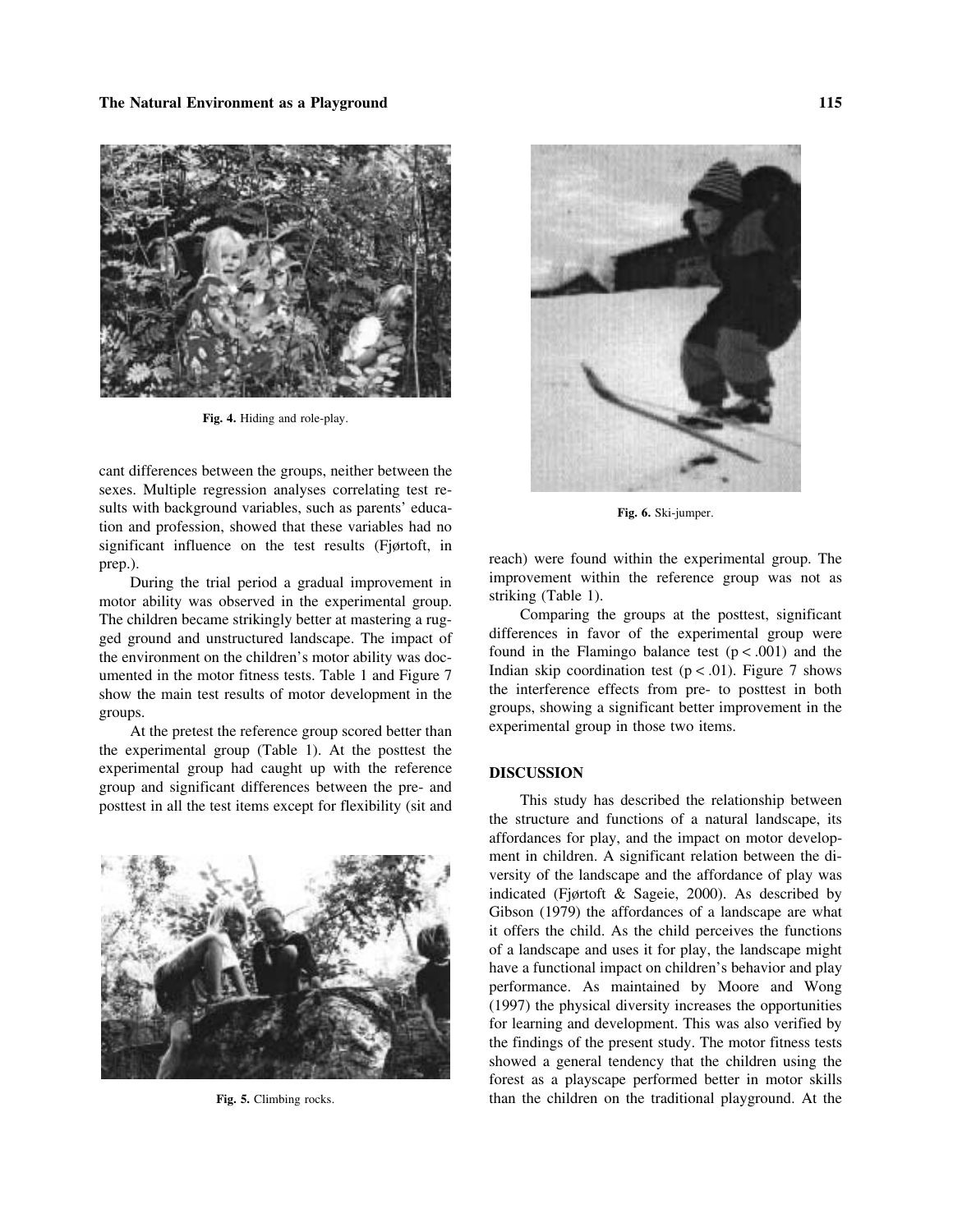## **The Natural Environment as a Playground 115**



**Fig. 4.** Hiding and role-play.

cant differences between the groups, neither between the sexes. Multiple regression analyses correlating test results with background variables, such as parents' educa-<br>**Fig. 6.** Ski-jumper. tion and profession, showed that these variables had no significant influence on the test results (Fjørtoft, in reach) were found within the experimental group. The prep.).

motor ability was observed in the experimental group. striking (Table 1).<br>The children became strikingly better at mastering a rug. Comparing the groups at the posttest, significant The children became strikingly better at mastering a rug-<br>ged ground and unstructured landscape. The impact of<br>the environment on the children's motor ability was doc-<br>umented in the motor fitness tests. Table 1 and Figur

the experimental group (Table 1). At the posttest the experimental group had caught up with the reference **DISCUSSION**<br>group and significant differences between the pre- and



During the trial period a gradual improvement in improvement within the reference group was not as  $\frac{1}{2}$  in the experimental group striking (Table 1).

At the pretest the reference group scored better than experimental group in those two items.

posttest in all the test items except for flexibility (sit and This study has described the relationship between the structure and functions of a natural landscape, its affordances for play, and the impact on motor development in children. A significant relation between the diversity of the landscape and the affordance of play was indicated (Fjørtoft & Sageie, 2000). As described by Gibson (1979) the affordances of a landscape are what it offers the child. As the child perceives the functions of a landscape and uses it for play, the landscape might have a functional impact on children's behavior and play performance. As maintained by Moore and Wong (1997) the physical diversity increases the opportunities for learning and development. This was also verified by the findings of the present study. The motor fitness tests showed a general tendency that the children using the forest as a playscape performed better in motor skills **Fig. 5.** Climbing rocks. than the children on the traditional playground. At the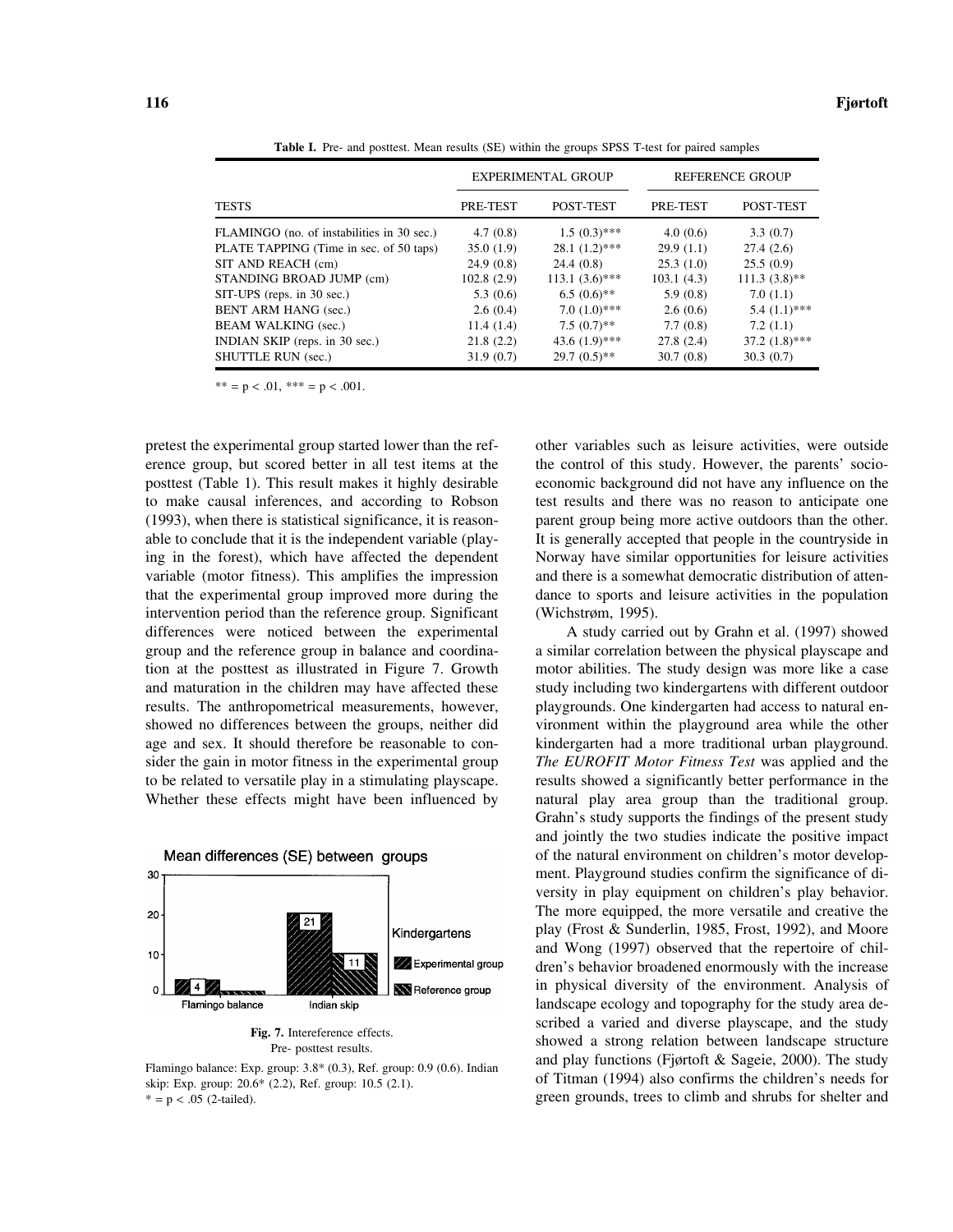EXPERIMENTAL GROUP REFERENCE GROUP TESTS PRE-TEST POST-TEST PRE-TEST POST-TEST FLAMINGO (no. of instabilities in 30 sec.)  $4.7 (0.8)$  1.5  $(0.3)$ \*\*  $4.0 (0.6)$  3.3 (0.7)<br>PLATE TAPPING (Time in sec. of 50 taps) 35.0 (1.9) 28.1 (1.2)\*\*\* 29.9 (1.1) 27.4 (2.6) PLATE TAPPING (Time in sec. of 50 taps) 35.0 (1.9) 28.1 (1.2)\*\*\* 29.9 (1.1) 27.4 (2.6) SIT AND REACH (cm) 24.9 (0.8) 24.4 (0.8) 25.5 (1.0) 25.5 (0.9) STANDING BROAD JUMP (cm)  $102.8$  (2.9)  $113.1$  (3.6)\*\*\*  $103.1$  (4.3)  $111.3$  (3.8)\*\* SIT-UPS (reps. in 30 sec.) 5.3 (0.6) 6.5 (0.6)\*\* 5.9 (0.8) 7.0 (1.1)<br>BENT ARM HANG (sec.) 2.6 (0.4) 7.0 (1.0)\*\*\* 2.6 (0.6) 5.4 (1.1)\*\*\* BENT ARM HANG (sec.) 2.6 (0.4) 7.0 (1.0)\*\*\* 2.6 (0.6) BEAM WALKING (sec.) 11.4 (1.4) 7.5 (0.7)\*\* 7.7 (0.8) 7.2 (1.1) INDIAN SKIP (reps. in 30 sec.) 21.8 (2.2) 43.6 (1.9)\*\*\* 27.8 (2.4) 37.2 (1.8)\*\*\* SHUTTLE RUN (sec.) 31.9 (0.7) 29.7 (0.5)\*\* 30.7 (0.8) 30.3 (0.7)

**Table I.** Pre- and posttest. Mean results (SE) within the groups SPSS T-test for paired samples

 $** = p < .01, ** = p < .001.$ 

pretest the experimental group started lower than the ref- other variables such as leisure activities, were outside erence group, but scored better in all test items at the the control of this study. However, the parents' socioposttest (Table 1). This result makes it highly desirable economic background did not have any influence on the to make causal inferences, and according to Robson test results and there was no reason to anticipate one (1993), when there is statistical significance, it is reason- parent group being more active outdoors than the other. able to conclude that it is the independent variable (play- It is generally accepted that people in the countryside in ing in the forest), which have affected the dependent Norway have similar opportunities for leisure activities variable (motor fitness). This amplifies the impression and there is a somewhat democratic distribution of attenthat the experimental group improved more during the dance to sports and leisure activities in the population intervention period than the reference group. Significant (Wichstrøm, 1995). differences were noticed between the experimental A study carried out by Grahn et al. (1997) showed group and the reference group in balance and coordina- a similar correlation between the physical playscape and tion at the posttest as illustrated in Figure 7. Growth motor abilities. The study design was more like a case and maturation in the children may have affected these study including two kindergartens with different outdoor results. The anthropometrical measurements, however, playgrounds. One kindergarten had access to natural enshowed no differences between the groups, neither did vironment within the playground area while the other age and sex. It should therefore be reasonable to con- kindergarten had a more traditional urban playground. sider the gain in motor fitness in the experimental group *The EUROFIT Motor Fitness Test* was applied and the to be related to versatile play in a stimulating playscape. results showed a significantly better performance in the Whether these effects might have been influenced by natural play area group than the traditional group.



Grahn's study supports the findings of the present study and jointly the two studies indicate the positive impact of the natural environment on children's motor development. Playground studies confirm the significance of diversity in play equipment on children's play behavior. The more equipped, the more versatile and creative the play (Frost & Sunderlin, 1985, Frost, 1992), and Moore and Wong (1997) observed that the repertoire of children's behavior broadened enormously with the increase in physical diversity of the environment. Analysis of landscape ecology and topography for the study area de-**Fig. 7.** Intereference effects. Showed a varied and diverse playscape, and the study showed a strong relation between landscape structure Flamingo balance: Exp. group: 3.8\* (0.3), Ref. group: 0.9 (0.6). Indian and play functions (Fjørtoft & Sageie, 2000). The study skip: Exp. group: 20.6\* (2.2), Ref. group: 10.5 (2.1). of Titman (1994) also confirms the chil  $* = p < .05$  (2-tailed). green grounds, trees to climb and shrubs for shelter and